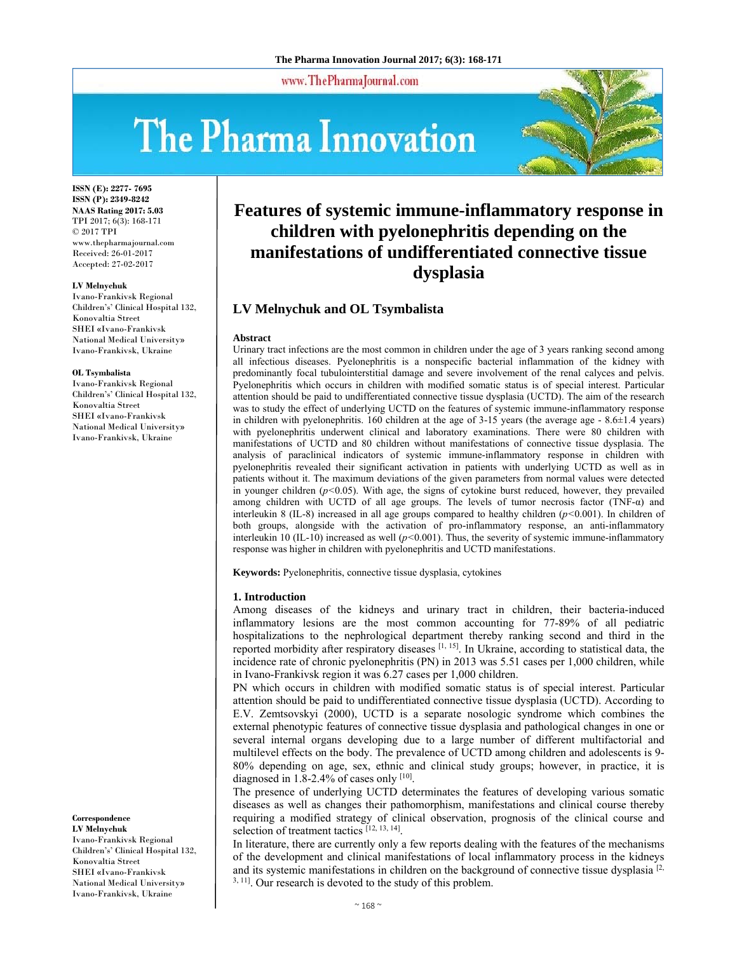www.ThePharmaJournal.com

# The Pharma Innovation



**ISSN (E): 2277- 7695 ISSN (P): 2349-8242 NAAS Rating 2017: 5.03** TPI 2017; 6(3): 168-171 © 2017 TPI www.thepharmajournal.com Received: 26-01-2017 Accepted: 27-02-2017

#### **LV Melnychuk**

Ivano-Frankivsk Regional Children's' Clinical Hospital 132, Konovaltia Street SHEI «Ivano-Frankivsk National Medical University» Ivano-Frankivsk, Ukraine

#### **OL Tsymbalista**

Ivano-Frankivsk Regional Children's' Clinical Hospital 132, Konovaltia Street SHEI «Ivano-Frankivsk National Medical University» Ivano-Frankivsk, Ukraine

**Correspondence** 

**LV Melnychuk**  Ivano-Frankivsk Regional Children's' Clinical Hospital 132, Konovaltia Street SHEI «Ivano-Frankivsk National Medical University» Ivano-Frankivsk, Ukraine

# **Features of systemic immune-inflammatory response in children with pyelonephritis depending on the manifestations of undifferentiated connective tissue dysplasia**

# **LV Melnychuk and OL Tsymbalista**

#### **Abstract**

Urinary tract infections are the most common in children under the age of 3 years ranking second among all infectious diseases. Pyelonephritis is a nonspecific bacterial inflammation of the kidney with predominantly focal tubulointerstitial damage and severe involvement of the renal calyces and pelvis. Pyelonephritis which occurs in children with modified somatic status is of special interest. Particular attention should be paid to undifferentiated connective tissue dysplasia (UCTD). The aim of the research was to study the effect of underlying UCTD on the features of systemic immune-inflammatory response in children with pyelonephritis. 160 children at the age of 3-15 years (the average age - 8.6±1.4 years) with pyelonephritis underwent clinical and laboratory examinations. There were 80 children with manifestations of UCTD and 80 children without manifestations of connective tissue dysplasia. The analysis of paraclinical indicators of systemic immune-inflammatory response in children with pyelonephritis revealed their significant activation in patients with underlying UCTD as well as in patients without it. The maximum deviations of the given parameters from normal values were detected in younger children  $(p<0.05)$ . With age, the signs of cytokine burst reduced, however, they prevailed among children with UCTD of all age groups. The levels of tumor necrosis factor (TNF-α) and interleukin 8 (IL-8) increased in all age groups compared to healthy children (*р<*0.001). In children of both groups, alongside with the activation of pro-inflammatory response, an anti-inflammatory interleukin 10 (IL-10) increased as well (*р<*0.001). Thus, the severity of systemic immune-inflammatory response was higher in children with pyelonephritis and UCTD manifestations.

**Keywords:** Pyelonephritis, connective tissue dysplasia, cytokines

#### **1. Introduction**

Among diseases of the kidneys and urinary tract in children, their bacteria-induced inflammatory lesions are the most common accounting for 77-89% of all pediatric hospitalizations to the nephrological department thereby ranking second and third in the reported morbidity after respiratory diseases [1, 15]. In Ukraine, according to statistical data, the incidence rate of chronic pyelonephritis (PN) in 2013 was 5.51 cases per 1,000 children, while in Ivano-Frankivsk region it was 6.27 cases per 1,000 children.

PN which occurs in children with modified somatic status is of special interest. Particular attention should be paid to undifferentiated connective tissue dysplasia (UCTD). According to E.V. Zemtsovskyi (2000), UCTD is a separate nosologic syndrome which combines the external phenotypic features of connective tissue dysplasia and pathological changes in one or several internal organs developing due to a large number of different multifactorial and multilevel effects on the body. The prevalence of UCTD among children and adolescents is 9- 80% depending on age, sex, ethnic and clinical study groups; however, in practice, it is diagnosed in 1.8-2.4% of cases only [10].

The presence of underlying UCTD determinates the features of developing various somatic diseases as well as changes their pathomorphism, manifestations and clinical course thereby requiring a modified strategy of clinical observation, prognosis of the clinical course and selection of treatment tactics [12, 13, 14].

In literature, there are currently only a few reports dealing with the features of the mechanisms of the development and clinical manifestations of local inflammatory process in the kidneys and its systemic manifestations in children on the background of connective tissue dysplasia  $[2, 1]$ <sup>3, 11</sup>. Our research is devoted to the study of this problem.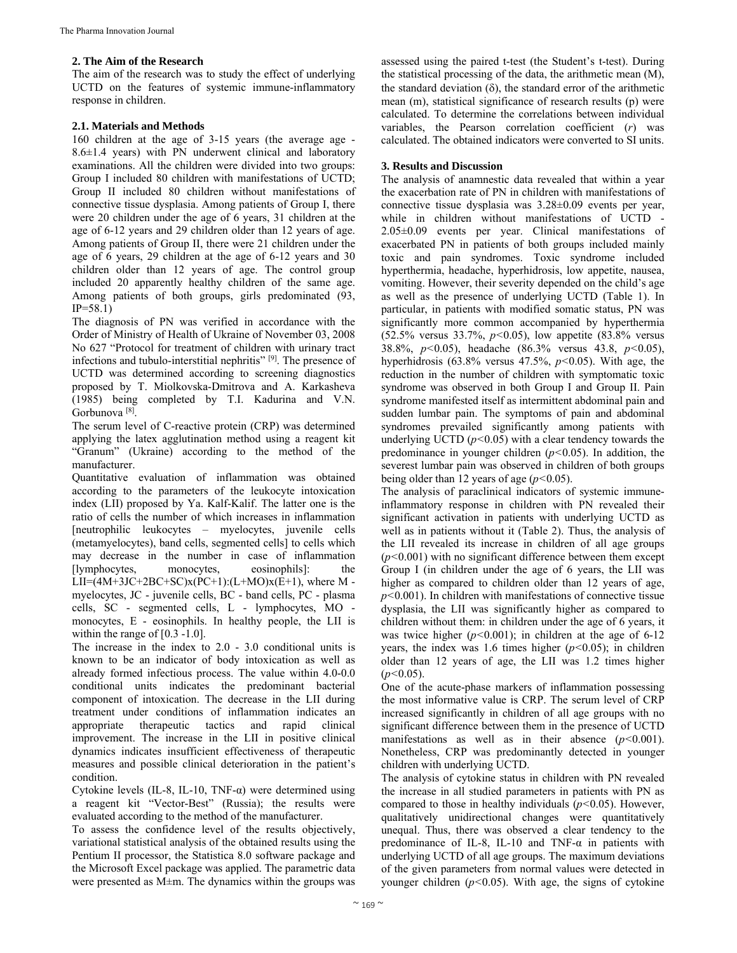# **2. The Aim of the Research**

The aim of the research was to study the effect of underlying UCTD on the features of systemic immune-inflammatory response in children.

# **2.1. Materials and Methods**

160 children at the age of 3-15 years (the average age - 8.6±1.4 years) with PN underwent clinical and laboratory examinations. All the children were divided into two groups: Group I included 80 children with manifestations of UCTD; Group II included 80 children without manifestations of connective tissue dysplasia. Among patients of Group I, there were 20 children under the age of 6 years, 31 children at the age of 6-12 years and 29 children older than 12 years of age. Among patients of Group II, there were 21 children under the age of 6 years, 29 children at the age of 6-12 years and 30 children older than 12 years of age. The control group included 20 apparently healthy children of the same age. Among patients of both groups, girls predominated (93,  $IP = 58.1$ 

The diagnosis of PN was verified in accordance with the Order of Ministry of Health of Ukraine of November 03, 2008 No 627 "Protocol for treatment of children with urinary tract infections and tubulo-interstitial nephritis" [9]. The presence of UCTD was determined according to screening diagnostics proposed by T. Miolkovska-Dmitrova and A. Karkasheva (1985) being completed by T.I. Kadurina and V.N. Gorbunova [8].

The serum level of C-reactive protein (CRP) was determined applying the latex agglutination method using a reagent kit "Granum" (Ukraine) according to the method of the manufacturer.

Quantitative evaluation of inflammation was obtained according to the parameters of the leukocyte intoxication index (LII) proposed by Ya. Kalf-Kalif. The latter one is the ratio of cells the number of which increases in inflammation [neutrophilic leukocytes – myelocytes, juvenile cells (metamyelocytes), band cells, segmented cells] to cells which may decrease in the number in case of inflammation [lymphocytes, monocytes, eosinophils]: the  $LII=(4M+3JC+2BC+SC)x(PC+1):(L+MO)x(E+1),$  where M myelocytes, JC - juvenile cells, BC - band cells, PC - plasma cells, SC - segmented cells, L - lymphocytes, MO monocytes, E - eosinophils. In healthy people, the LII is within the range of [0.3 -1.0].

The increase in the index to 2.0 - 3.0 conditional units is known to be an indicator of body intoxication as well as already formed infectious process. The value within 4.0-0.0 conditional units indicates the predominant bacterial component of intoxication. The decrease in the LII during treatment under conditions of inflammation indicates an appropriate therapeutic tactics and rapid clinical improvement. The increase in the LII in positive clinical dynamics indicates insufficient effectiveness of therapeutic measures and possible clinical deterioration in the patient's condition.

Cytokine levels (IL-8, IL-10, TNF-α) were determined using a reagent kit "Vector-Best" (Russia); the results were evaluated according to the method of the manufacturer.

To assess the confidence level of the results objectively, variational statistical analysis of the obtained results using the Pentium II processor, the Statistica 8.0 software package and the Microsoft Excel package was applied. The parametric data were presented as M±m. The dynamics within the groups was

assessed using the paired t-test (the Student's t-test). During the statistical processing of the data, the arithmetic mean (M), the standard deviation  $(\delta)$ , the standard error of the arithmetic mean (m), statistical significance of research results (p) were calculated. To determine the correlations between individual variables, the Pearson correlation coefficient (*r*) was calculated. The obtained indicators were converted to SI units.

# **3. Results and Discussion**

The analysis of anamnestic data revealed that within a year the exacerbation rate of PN in children with manifestations of connective tissue dysplasia was 3.28±0.09 events per year, while in children without manifestations of UCTD - 2.05±0.09 events per year. Clinical manifestations of exacerbated PN in patients of both groups included mainly toxic and pain syndromes. Toxic syndrome included hyperthermia, headache, hyperhidrosis, low appetite, nausea, vomiting. However, their severity depended on the child's age as well as the presence of underlying UCTD (Table 1). In particular, in patients with modified somatic status, PN was significantly more common accompanied by hyperthermia (52.5% versus 33.7%, *р<*0.05), low appetite (83.8% versus 38.8%, *р<*0.05), headache (86.3% versus 43.8, *р<*0.05), hyperhidrosis (63.8% versus 47.5%, *р<*0.05). With age, the reduction in the number of children with symptomatic toxic syndrome was observed in both Group I and Group II. Pain syndrome manifested itself as intermittent abdominal pain and sudden lumbar pain. The symptoms of pain and abdominal syndromes prevailed significantly among patients with underlying UCTD ( $p$ <0.05) with a clear tendency towards the predominance in younger children (*р<*0.05). In addition, the severest lumbar pain was observed in children of both groups being older than 12 years of age (*р<*0.05).

The analysis of paraclinical indicators of systemic immuneinflammatory response in children with PN revealed their significant activation in patients with underlying UCTD as well as in patients without it (Table 2). Thus, the analysis of the LII revealed its increase in children of all age groups (*р<*0.001) with no significant difference between them except Group I (in children under the age of 6 years, the LII was higher as compared to children older than 12 years of age, *p*<sup> $\le$ </sup>0.001). In children with manifestations of connective tissue dysplasia, the LII was significantly higher as compared to children without them: in children under the age of 6 years, it was twice higher ( $p$ <0.001); in children at the age of 6-12 years, the index was 1.6 times higher (*р<*0.05); in children older than 12 years of age, the LII was 1.2 times higher (*р<*0.05).

One of the acute-phase markers of inflammation possessing the most informative value is CRP. The serum level of CRP increased significantly in children of all age groups with no significant difference between them in the presence of UCTD manifestations as well as in their absence (*р<*0.001). Nonetheless, CRP was predominantly detected in younger children with underlying UCTD.

The analysis of cytokine status in children with PN revealed the increase in all studied parameters in patients with PN as compared to those in healthy individuals (*р<*0.05). However, qualitatively unidirectional changes were quantitatively unequal. Thus, there was observed a clear tendency to the predominance of IL-8, IL-10 and TNF- $\alpha$  in patients with underlying UCTD of all age groups. The maximum deviations of the given parameters from normal values were detected in younger children (*р<*0.05). With age, the signs of cytokine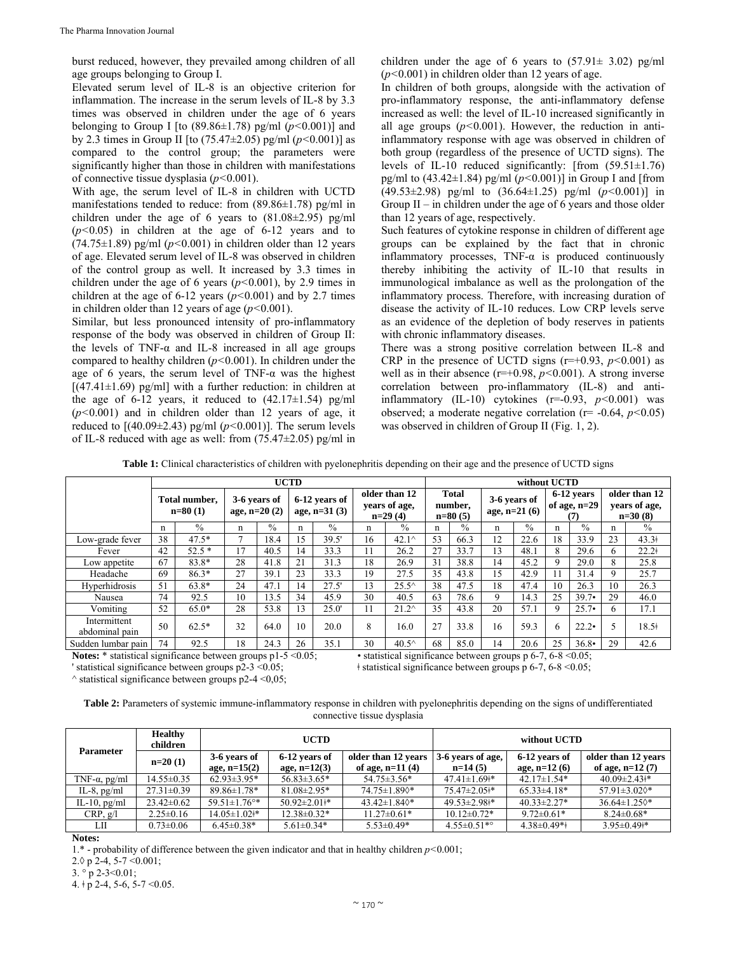burst reduced, however, they prevailed among children of all age groups belonging to Group I.

Elevated serum level of IL-8 is an objective criterion for inflammation. The increase in the serum levels of IL-8 by 3.3 times was observed in children under the age of 6 years belonging to Group I [to (89.86±1.78) pg/ml (*р<*0.001)] and by 2.3 times in Group ІІ [to (75.47±2.05) pg/ml (*р<*0.001)] as compared to the control group; the parameters were significantly higher than those in children with manifestations of connective tissue dysplasia (*р<*0.001).

With age, the serum level of IL-8 in children with UCTD manifestations tended to reduce: from (89.86±1.78) pg/ml in children under the age of 6 years to (81.08±2.95) pg/ml (*р<*0.05) in children at the age of 6-12 years and to  $(74.75\pm1.89)$  pg/ml  $(p<0.001)$  in children older than 12 years of age. Elevated serum level of IL-8 was observed in children of the control group as well. It increased by 3.3 times in children under the age of 6 years (*р<*0.001), by 2.9 times in children at the age of 6-12 years (*р<*0.001) and by 2.7 times in children older than 12 years of age (*р<*0.001).

Similar, but less pronounced intensity of pro-inflammatory response of the body was observed in children of Group II: the levels of TNF- $\alpha$  and IL-8 increased in all age groups compared to healthy children (*р<*0.001). In children under the age of 6 years, the serum level of TNF- $\alpha$  was the highest  $[(47.41 \pm 1.69)$  pg/ml] with a further reduction: in children at the age of 6-12 years, it reduced to  $(42.17\pm1.54)$  pg/ml (*р<*0.001) and in children older than 12 years of age, it reduced to  $[(40.09 \pm 2.43)$  pg/ml  $(p<0.001)$ ]. The serum levels of IL-8 reduced with age as well: from  $(75.47\pm2.05)$  pg/ml in children under the age of 6 years to  $(57.91 \pm 3.02)$  pg/ml (*р<*0.001) in children older than 12 years of age.

In children of both groups, alongside with the activation of pro-inflammatory response, the anti-inflammatory defense increased as well: the level of IL-10 increased significantly in all age groups  $(p<0.001)$ . However, the reduction in antiinflammatory response with age was observed in children of both group (regardless of the presence of UCTD signs). The levels of IL-10 reduced significantly: [from (59.51±1.76) pg/ml to (43.42±1.84) pg/ml (*р<*0.001)] in Group I and [from (49.53±2.98) pg/ml to (36.64±1.25) pg/ml (*р<*0.001)] in Group II – in children under the age of 6 years and those older than 12 years of age, respectively.

Such features of cytokine response in children of different age groups can be explained by the fact that in chronic inflammatory processes, TNF-α is produced continuously thereby inhibiting the activity of IL-10 that results in immunological imbalance as well as the prolongation of the inflammatory process. Therefore, with increasing duration of disease the activity of IL-10 reduces. Low CRP levels serve as an evidence of the depletion of body reserves in patients with chronic inflammatory diseases.

There was a strong positive correlation between IL-8 and CRP in the presence of UCTD signs ( $r=+0.93$ ,  $p<0.001$ ) as well as in their absence  $(r=+0.98, p<0.001)$ . A strong inverse correlation between pro-inflammatory (IL-8) and antiinflammatory (IL-10) cytokines (r=-0.93, *р<*0.001) was observed; a moderate negative correlation (r= -0.64, *р<*0.05) was observed in children of Group II (Fig. 1, 2).

**Table 1:** Clinical characteristics of children with pyelonephritis depending on their age and the presence of UCTD signs

|                                | <b>UCTD</b>                |               |                                |               |    |                                 |    | without UCTD                                |    |                                      |    |                                |    |                                     |    |                                             |  |
|--------------------------------|----------------------------|---------------|--------------------------------|---------------|----|---------------------------------|----|---------------------------------------------|----|--------------------------------------|----|--------------------------------|----|-------------------------------------|----|---------------------------------------------|--|
|                                | Total number.<br>$n=80(1)$ |               | 3-6 years of<br>age, $n=20(2)$ |               |    | 6-12 years of<br>age, $n=31(3)$ |    | older than 12<br>years of age,<br>$n=29(4)$ |    | <b>Total</b><br>number.<br>$n=80(5)$ |    | 3-6 years of<br>age, $n=21(6)$ |    | 6-12 years<br>of age, $n=29$<br>(7) |    | older than 12<br>years of age,<br>$n=30(8)$ |  |
|                                | n                          | $\frac{0}{0}$ | n                              | $\frac{0}{0}$ | n  | $\frac{0}{0}$                   | n  | $\%$                                        | n  | $\frac{0}{0}$                        | n  | $\%$                           | n  | $\%$                                | n  | $\%$                                        |  |
| Low-grade fever                | 38                         | $47.5*$       |                                | 18.4          | 15 | 39.5'                           | 16 | $42.1^{\circ}$                              | 53 | 66.3                                 | 12 | 22.6                           | 18 | 33.9                                | 23 | $43.3+$                                     |  |
| Fever                          | 42                         | $52.5*$       | 17                             | 40.5          | 14 | 33.3                            | 11 | 26.2                                        | 27 | 33.7                                 | 13 | 48.1                           | 8  | 29.6                                | 6  | $22.2+$                                     |  |
| Low appetite                   | 67                         | 83.8*         | 28                             | 41.8          | 21 | 31.3                            | 18 | 26.9                                        | 31 | 38.8                                 | 14 | 45.2                           | 9  | 29.0                                | 8  | 25.8                                        |  |
| Headache                       | 69                         | $86.3*$       | 27                             | 39.1          | 23 | 33.3                            | 19 | 27.5                                        | 35 | 43.8                                 | 15 | 42.9                           |    | 31.4                                | 9  | 25.7                                        |  |
| Hyperhidrosis                  | 51                         | $63.8*$       | 24                             | 47.1          | 14 | 27.5'                           | 13 | $25.5^{\wedge}$                             | 38 | 47.5                                 | 18 | 47.4                           | 10 | 26.3                                | 10 | 26.3                                        |  |
| Nausea                         | 74                         | 92.5          | 10                             | 13.5          | 34 | 45.9                            | 30 | 40.5                                        | 63 | 78.6                                 | 9  | 14.3                           | 25 | $39.7 \cdot$                        | 29 | 46.0                                        |  |
| Vomiting                       | 52                         | $65.0*$       | 28                             | 53.8          | 13 | 25.0'                           | 11 | $21.2^{\wedge}$                             | 35 | 43.8                                 | 20 | 57.1                           | 9  | $25.7\cdot$                         | 6  | 17.1                                        |  |
| Intermittent<br>abdominal pain | 50                         | $62.5*$       | 32                             | 64.0          | 10 | 20.0                            | 8  | 16.0                                        | 27 | 33.8                                 | 16 | 59.3                           | 6  | 22.2                                |    | $18.5^{\dagger}$                            |  |
| Sudden lumbar pain             | 74                         | 92.5          | 18                             | 24.3          | 26 | 35.1                            | 30 | $40.5^{\circ}$                              | 68 | 85.0                                 | 14 | 20.6                           | 25 | 36.8                                | 29 | 42.6                                        |  |

 $\land$  statistical significance between groups p2-4 <0,05;

**Notes:** \* statistical significance between groups p1-5 < 0.05; • statistical significance between groups p 6-7, 6-8 < 0.05; • is statistical significance between groups p 6-7, 6-8 < 0.05;  $\frac{1}{2}$  statistical significance between groups p 6-7, 6-8 < 0.05;

| Table 2: Parameters of systemic immune-inflammatory response in children with pyelonephritis depending on the signs of undifferentiated |
|-----------------------------------------------------------------------------------------------------------------------------------------|
| connective tissue dysplasia                                                                                                             |

| <b>Parameter</b>      | <b>Healthy</b><br>children |                                | <b>UCTD</b>                   |                     | without UCTD                  |                   |                               |  |
|-----------------------|----------------------------|--------------------------------|-------------------------------|---------------------|-------------------------------|-------------------|-------------------------------|--|
|                       | $n=20(1)$                  | 3-6 years of                   | 6-12 years of                 | older than 12 years | 3-6 years of age,             | 6-12 years of     | older than 12 years           |  |
|                       |                            | age, $n=15(2)$                 | age, $n=12(3)$                | of age, $n=11(4)$   | $n=14(5)$                     | age, $n=12(6)$    | of age, $n=12(7)$             |  |
| TNF- $\alpha$ , pg/ml | $14.55 \pm 0.35$           | $62.93 \pm 3.95^*$             | $56.83 \pm 3.65*$             | $54.75 \pm 3.56*$   | $47.41 \pm 1.69$ <sup>*</sup> | $42.17 \pm 1.54*$ | $40.09 \pm 2.43$ <sup>*</sup> |  |
| IL-8, $pg/ml$         | $27.31 \pm 0.39$           | $89.86 \pm 1.78$ *             | $81.08 \pm 2.95*$             | 74.75±1.890*        | $75.47 \pm 2.05$ #*           | $65.33\pm4.18*$   | 57.91 $\pm$ 3.02 $\Diamond$ * |  |
| IL-10, $pg/ml$        | $23.42 \pm 0.62$           | $59.51 \pm 1.76$ <sup>o*</sup> | $50.92 \pm 2.01$ <sup>*</sup> | $43.42 \pm 1.84$    | $49.53 \pm 2.98$ <sup>*</sup> | $40.33 \pm 2.27*$ | $36.64 \pm 1.25$              |  |
| CRP, g/l              | $2.25 \pm 0.16$            | $14.05 \pm 1.02$ #*            | $12.38 \pm 0.32*$             | $11.27 \pm 0.61*$   | $10.12 \pm 0.72$ *            | $9.72 \pm 0.61*$  | $8.24 \pm 0.68*$              |  |
| LШ                    | $0.73 \pm 0.06$            | $6.45 \pm 0.38*$               | $5.61 \pm 0.34*$              | $5.53 \pm 0.49*$    | $4.55 \pm 0.51^{*o}$          | $4.38\pm0.49*$    | $3.95 \pm 0.49$ #*            |  |
| $ -$                  |                            |                                |                               |                     |                               |                   |                               |  |

**Notes:** 

1.\* - probability of difference between the given indicator and that in healthy children *р<*0.001;

2.◊ р 2-4, 5-7 <0.001;

3. ° р 2-3<0.01;

 $4. \dagger p$  2-4, 5-6, 5-7 < 0.05.